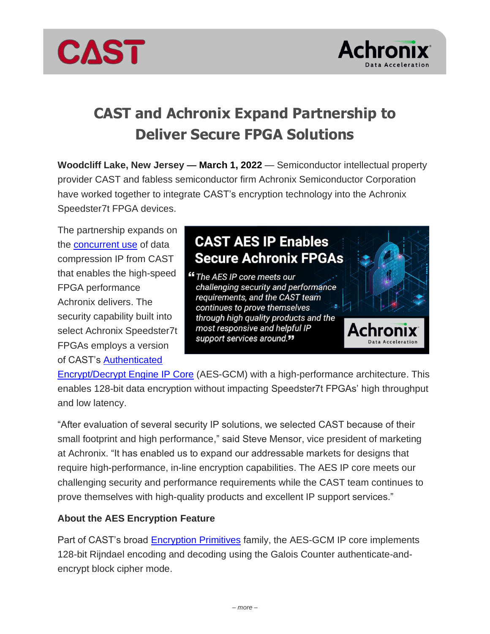



# **CAST and Achronix Expand Partnership to Deliver Secure FPGA Solutions**

**Woodcliff Lake, New Jersey — March 1, 2022** — Semiconductor intellectual property provider CAST and fabless semiconductor firm Achronix Semiconductor Corporation have worked together to integrate CAST's encryption technology into the Achronix Speedster7t FPGA devices.

The partnership expands on the [concurrent use](https://www.cast-inc.com/press-releases/achronix-release-cast-and-achronix-enable-processing-data-center-edge-lossless/) of data compression IP from CAST that enables the high-speed FPGA performance Achronix delivers. The security capability built into select Achronix Speedster7t FPGAs employs a version of CAST's [Authenticated](https://www.cast-inc.com/security/encryption-primitives/aes-gcm/) 

## **CAST AES IP Enables Secure Achronix FPGAs**

"The AES IP core meets our challenging security and performance requirements, and the CAST team continues to prove themselves through high quality products and the most responsive and helpful IP support services around."



[Encrypt/Decrypt Engine](https://www.cast-inc.com/security/encryption-primitives/aes-gcm/) IP Core (AES-GCM) with a high-performance architecture. This enables 128-bit data encryption without impacting Speedster7t FPGAs' high throughput and low latency.

"After evaluation of several security IP solutions, we selected CAST because of their small footprint and high performance," said Steve Mensor, vice president of marketing at Achronix. "It has enabled us to expand our addressable markets for designs that require high-performance, in-line encryption capabilities. The AES IP core meets our challenging security and performance requirements while the CAST team continues to prove themselves with high-quality products and excellent IP support services."

### **About the AES Encryption Feature**

Part of CAST's broad [Encryption Primitives](https://www.cast-inc.com/security/encryption-primitives/) family, the AES-GCM IP core implements 128-bit Rijndael encoding and decoding using the Galois Counter authenticate-andencrypt block cipher mode.